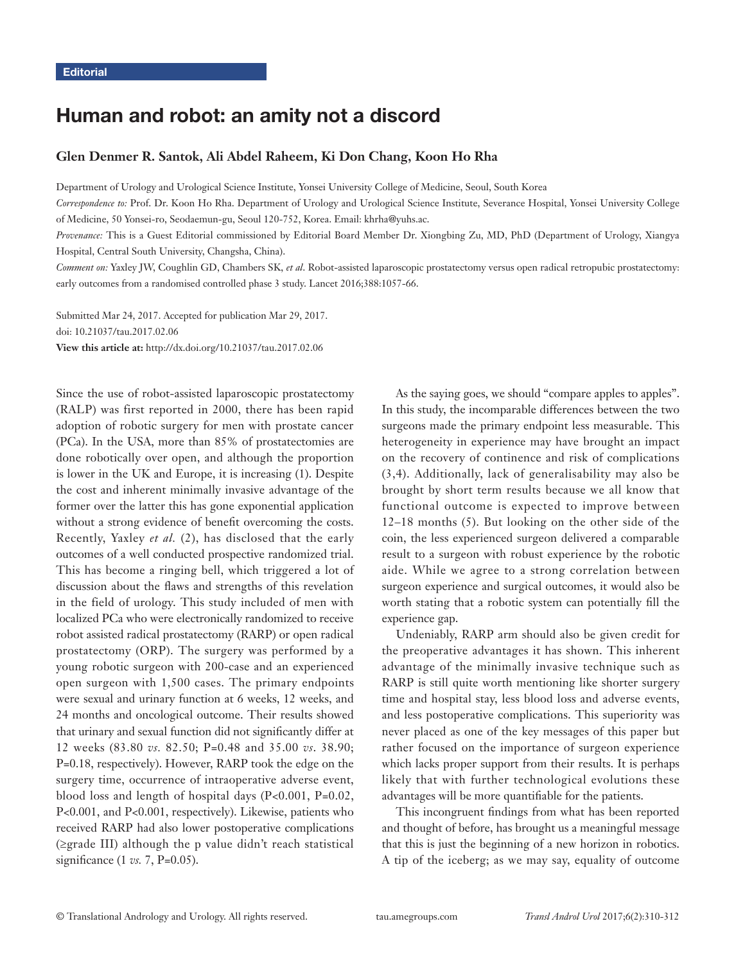# Human and robot: an amity not a discord

# **Glen Denmer R. Santok, Ali Abdel Raheem, Ki Don Chang, Koon Ho Rha**

Department of Urology and Urological Science Institute, Yonsei University College of Medicine, Seoul, South Korea

*Correspondence to:* Prof. Dr. Koon Ho Rha. Department of Urology and Urological Science Institute, Severance Hospital, Yonsei University College of Medicine, 50 Yonsei-ro, Seodaemun-gu, Seoul 120-752, Korea. Email: khrha@yuhs.ac.

*Provenance:* This is a Guest Editorial commissioned by Editorial Board Member Dr. Xiongbing Zu, MD, PhD (Department of Urology, Xiangya Hospital, Central South University, Changsha, China).

*Comment on:* Yaxley JW, Coughlin GD, Chambers SK, *et al*. Robot-assisted laparoscopic prostatectomy versus open radical retropubic prostatectomy: early outcomes from a randomised controlled phase 3 study. Lancet 2016;388:1057-66.

Submitted Mar 24, 2017. Accepted for publication Mar 29, 2017. doi: 10.21037/tau.2017.02.06 **View this article at:** http://dx.doi.org/10.21037/tau.2017.02.06

Since the use of robot-assisted laparoscopic prostatectomy (RALP) was first reported in 2000, there has been rapid adoption of robotic surgery for men with prostate cancer (PCa). In the USA, more than 85% of prostatectomies are done robotically over open, and although the proportion is lower in the UK and Europe, it is increasing (1). Despite the cost and inherent minimally invasive advantage of the former over the latter this has gone exponential application without a strong evidence of benefit overcoming the costs. Recently, Yaxley *et al.* (2), has disclosed that the early outcomes of a well conducted prospective randomized trial. This has become a ringing bell, which triggered a lot of discussion about the flaws and strengths of this revelation in the field of urology. This study included of men with localized PCa who were electronically randomized to receive robot assisted radical prostatectomy (RARP) or open radical prostatectomy (ORP). The surgery was performed by a young robotic surgeon with 200-case and an experienced open surgeon with 1,500 cases. The primary endpoints were sexual and urinary function at 6 weeks, 12 weeks, and 24 months and oncological outcome. Their results showed that urinary and sexual function did not significantly differ at 12 weeks (83.80 *vs.* 82.50; P=0.48 and 35.00 *vs*. 38.90; P=0.18, respectively). However, RARP took the edge on the surgery time, occurrence of intraoperative adverse event, blood loss and length of hospital days (P<0.001, P=0.02, P<0.001, and P<0.001, respectively). Likewise, patients who received RARP had also lower postoperative complications (≥grade III) although the p value didn't reach statistical significance (1 *vs.* 7, P=0.05).

As the saying goes, we should "compare apples to apples". In this study, the incomparable differences between the two surgeons made the primary endpoint less measurable. This heterogeneity in experience may have brought an impact on the recovery of continence and risk of complications (3,4). Additionally, lack of generalisability may also be brought by short term results because we all know that functional outcome is expected to improve between 12–18 months (5). But looking on the other side of the coin, the less experienced surgeon delivered a comparable result to a surgeon with robust experience by the robotic aide. While we agree to a strong correlation between surgeon experience and surgical outcomes, it would also be worth stating that a robotic system can potentially fill the experience gap.

Undeniably, RARP arm should also be given credit for the preoperative advantages it has shown. This inherent advantage of the minimally invasive technique such as RARP is still quite worth mentioning like shorter surgery time and hospital stay, less blood loss and adverse events, and less postoperative complications. This superiority was never placed as one of the key messages of this paper but rather focused on the importance of surgeon experience which lacks proper support from their results. It is perhaps likely that with further technological evolutions these advantages will be more quantifiable for the patients.

This incongruent findings from what has been reported and thought of before, has brought us a meaningful message that this is just the beginning of a new horizon in robotics. A tip of the iceberg; as we may say, equality of outcome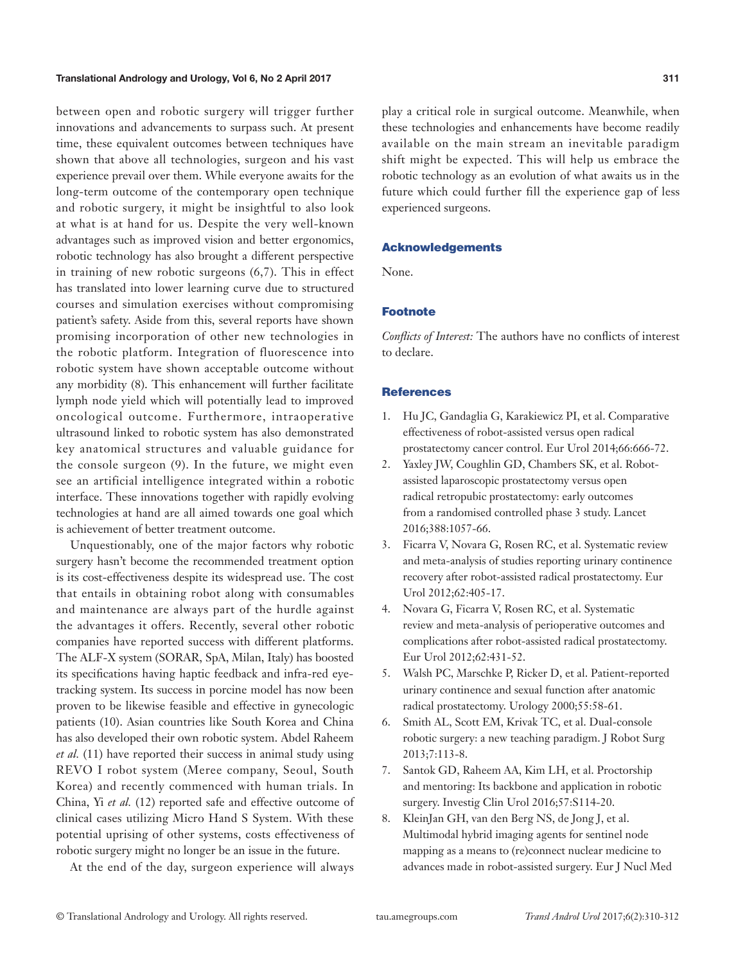# Translational Andrology and Urology, Vol 6, No 2 April 2017 **311**

between open and robotic surgery will trigger further innovations and advancements to surpass such. At present time, these equivalent outcomes between techniques have shown that above all technologies, surgeon and his vast experience prevail over them. While everyone awaits for the long-term outcome of the contemporary open technique and robotic surgery, it might be insightful to also look at what is at hand for us. Despite the very well-known advantages such as improved vision and better ergonomics, robotic technology has also brought a different perspective in training of new robotic surgeons (6,7). This in effect has translated into lower learning curve due to structured courses and simulation exercises without compromising patient's safety. Aside from this, several reports have shown promising incorporation of other new technologies in the robotic platform. Integration of fluorescence into robotic system have shown acceptable outcome without any morbidity (8). This enhancement will further facilitate lymph node yield which will potentially lead to improved oncological outcome. Furthermore, intraoperative ultrasound linked to robotic system has also demonstrated key anatomical structures and valuable guidance for the console surgeon (9). In the future, we might even see an artificial intelligence integrated within a robotic interface. These innovations together with rapidly evolving technologies at hand are all aimed towards one goal which is achievement of better treatment outcome.

Unquestionably, one of the major factors why robotic surgery hasn't become the recommended treatment option is its cost-effectiveness despite its widespread use. The cost that entails in obtaining robot along with consumables and maintenance are always part of the hurdle against the advantages it offers. Recently, several other robotic companies have reported success with different platforms. The ALF-X system (SORAR, SpA, Milan, Italy) has boosted its specifications having haptic feedback and infra-red eyetracking system. Its success in porcine model has now been proven to be likewise feasible and effective in gynecologic patients (10). Asian countries like South Korea and China has also developed their own robotic system. Abdel Raheem *et al.* (11) have reported their success in animal study using REVO I robot system (Meree company, Seoul, South Korea) and recently commenced with human trials. In China, Yi *et al.* (12) reported safe and effective outcome of clinical cases utilizing Micro Hand S System. With these potential uprising of other systems, costs effectiveness of robotic surgery might no longer be an issue in the future.

At the end of the day, surgeon experience will always

play a critical role in surgical outcome. Meanwhile, when these technologies and enhancements have become readily available on the main stream an inevitable paradigm shift might be expected. This will help us embrace the robotic technology as an evolution of what awaits us in the future which could further fill the experience gap of less experienced surgeons.

# Acknowledgements

None.

### Footnote

*Conflicts of Interest:* The authors have no conflicts of interest to declare.

### **References**

- 1. Hu JC, Gandaglia G, Karakiewicz PI, et al. Comparative effectiveness of robot-assisted versus open radical prostatectomy cancer control. Eur Urol 2014;66:666-72.
- 2. Yaxley JW, Coughlin GD, Chambers SK, et al. Robotassisted laparoscopic prostatectomy versus open radical retropubic prostatectomy: early outcomes from a randomised controlled phase 3 study. Lancet 2016;388:1057-66.
- 3. Ficarra V, Novara G, Rosen RC, et al. Systematic review and meta-analysis of studies reporting urinary continence recovery after robot-assisted radical prostatectomy. Eur Urol 2012;62:405-17.
- 4. Novara G, Ficarra V, Rosen RC, et al. Systematic review and meta-analysis of perioperative outcomes and complications after robot-assisted radical prostatectomy. Eur Urol 2012;62:431-52.
- 5. Walsh PC, Marschke P, Ricker D, et al. Patient-reported urinary continence and sexual function after anatomic radical prostatectomy. Urology 2000;55:58-61.
- 6. Smith AL, Scott EM, Krivak TC, et al. Dual-console robotic surgery: a new teaching paradigm. J Robot Surg 2013;7:113-8.
- 7. Santok GD, Raheem AA, Kim LH, et al. Proctorship and mentoring: Its backbone and application in robotic surgery. Investig Clin Urol 2016;57:S114-20.
- 8. KleinJan GH, van den Berg NS, de Jong J, et al. Multimodal hybrid imaging agents for sentinel node mapping as a means to (re)connect nuclear medicine to advances made in robot-assisted surgery. Eur J Nucl Med